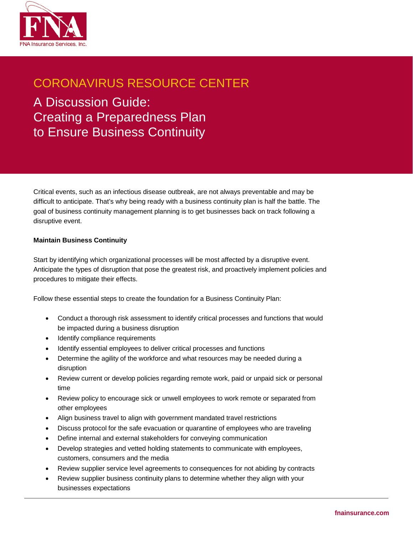

## CORONAVIRUS RESOURCE CENTER

A Discussion Guide: Creating a Preparedness Plan to Ensure Business Continuity

Critical events, such as an infectious disease outbreak, are not always preventable and may be difficult to anticipate. That's why being ready with a business continuity plan is half the battle. The goal of business continuity management planning is to get businesses back on track following a disruptive event.

## **Maintain Business Continuity**

Start by identifying which organizational processes will be most affected by a disruptive event. Anticipate the types of disruption that pose the greatest risk, and proactively implement policies and procedures to mitigate their effects.

Follow these essential steps to create the foundation for a Business Continuity Plan:

- Conduct a thorough risk assessment to identify critical processes and functions that would be impacted during a business disruption
- Identify compliance requirements
- Identify essential employees to deliver critical processes and functions
- Determine the agility of the workforce and what resources may be needed during a disruption
- Review current or develop policies regarding remote work, paid or unpaid sick or personal time
- Review policy to encourage sick or unwell employees to work remote or separated from other employees
- Align business travel to align with government mandated travel restrictions
- Discuss protocol for the safe evacuation or quarantine of employees who are traveling
- Define internal and external stakeholders for conveying communication
- Develop strategies and vetted holding statements to communicate with employees, customers, consumers and the media
- Review supplier service level agreements to consequences for not abiding by contracts
- Review supplier business continuity plans to determine whether they align with your businesses expectations